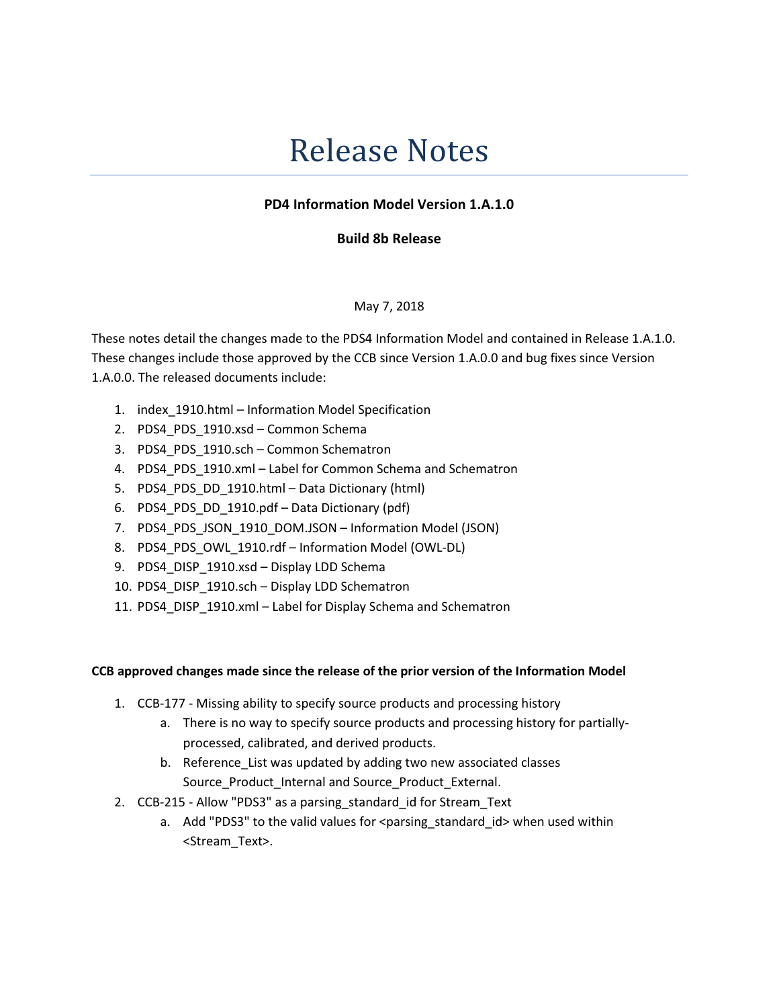# Release Notes

## PD4 Information Model Version 1.A.1.0

### Build 8b Release

#### May 7, 2018

These notes detail the changes made to the PDS4 Information Model and contained in Release 1.A.1.0. These changes include those approved by the CCB since Version 1.A.0.0 and bug fixes since Version 1.A.0.0. The released documents include:

- 1. index\_1910.html Information Model Specification
- 2. PDS4 PDS 1910.xsd Common Schema
- 3. PDS4 PDS 1910.sch Common Schematron
- 4. PDS4\_PDS\_1910.xml Label for Common Schema and Schematron
- 5. PDS4 PDS DD 1910.html Data Dictionary (html)
- 6. PDS4\_PDS\_DD\_1910.pdf Data Dictionary (pdf)
- 7. PDS4\_PDS\_JSON\_1910\_DOM.JSON Information Model (JSON)
- 8. PDS4 PDS\_OWL\_1910.rdf Information Model (OWL-DL)
- 9. PDS4\_DISP\_1910.xsd Display LDD Schema
- 10. PDS4\_DISP\_1910.sch Display LDD Schematron
- 11. PDS4\_DISP\_1910.xml Label for Display Schema and Schematron

#### CCB approved changes made since the release of the prior version of the Information Model

- 1. CCB-177 Missing ability to specify source products and processing history
	- a. There is no way to specify source products and processing history for partiallyprocessed, calibrated, and derived products.
	- b. Reference\_List was updated by adding two new associated classes Source\_Product\_Internal and Source\_Product\_External.
- 2. CCB-215 Allow "PDS3" as a parsing standard id for Stream Text
	- a. Add "PDS3" to the valid values for <parsing standard id> when used within <Stream\_Text>.